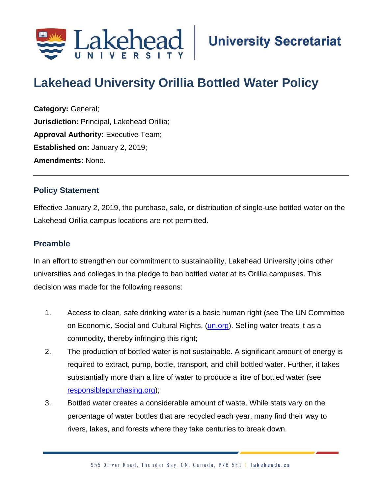

# **Lakehead University Orillia Bottled Water Policy**

**Category:** General; **Jurisdiction:** Principal, Lakehead Orillia; **Approval Authority:** Executive Team; **Established on:** January 2, 2019; **Amendments:** None.

#### **Policy Statement**

Effective January 2, 2019, the purchase, sale, or distribution of single-use bottled water on the Lakehead Orillia campus locations are not permitted.

# **Preamble**

In an effort to strengthen our commitment to sustainability, Lakehead University joins other universities and colleges in the pledge to ban bottled water at its Orillia campuses. This decision was made for the following reasons:

- 1. Access to clean, safe drinking water is a basic human right (see The UN Committee on Economic, Social and Cultural Rights, [\(un.org\)](https://www.un.org/). Selling water treats it as a commodity, thereby infringing this right;
- 2. The production of bottled water is not sustainable. A significant amount of energy is required to extract, pump, bottle, transport, and chill bottled water. Further, it takes substantially more than a litre of water to produce a litre of bottled water (see [responsiblepurchasing.org\)](http://responsiblepurchasing.org/);
- 3. Bottled water creates a considerable amount of waste. While stats vary on the percentage of water bottles that are recycled each year, many find their way to rivers, lakes, and forests where they take centuries to break down.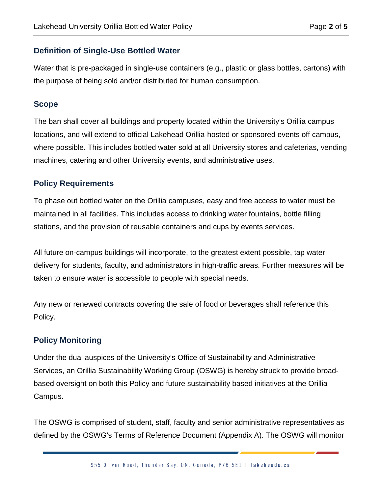### **Definition of Single-Use Bottled Water**

Water that is pre-packaged in single-use containers (e.g., plastic or glass bottles, cartons) with the purpose of being sold and/or distributed for human consumption.

#### **Scope**

The ban shall cover all buildings and property located within the University's Orillia campus locations, and will extend to official Lakehead Orillia-hosted or sponsored events off campus, where possible. This includes bottled water sold at all University stores and cafeterias, vending machines, catering and other University events, and administrative uses.

## **Policy Requirements**

To phase out bottled water on the Orillia campuses, easy and free access to water must be maintained in all facilities. This includes access to drinking water fountains, bottle filling stations, and the provision of reusable containers and cups by events services.

All future on-campus buildings will incorporate, to the greatest extent possible, tap water delivery for students, faculty, and administrators in high-traffic areas. Further measures will be taken to ensure water is accessible to people with special needs.

Any new or renewed contracts covering the sale of food or beverages shall reference this Policy.

# **Policy Monitoring**

Under the dual auspices of the University's Office of Sustainability and Administrative Services, an Orillia Sustainability Working Group (OSWG) is hereby struck to provide broadbased oversight on both this Policy and future sustainability based initiatives at the Orillia Campus.

The OSWG is comprised of student, staff, faculty and senior administrative representatives as defined by the OSWG's Terms of Reference Document (Appendix A). The OSWG will monitor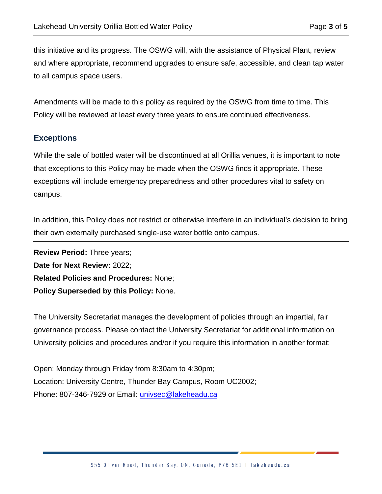this initiative and its progress. The OSWG will, with the assistance of Physical Plant, review and where appropriate, recommend upgrades to ensure safe, accessible, and clean tap water to all campus space users.

Amendments will be made to this policy as required by the OSWG from time to time. This Policy will be reviewed at least every three years to ensure continued effectiveness.

#### **Exceptions**

While the sale of bottled water will be discontinued at all Orillia venues, it is important to note that exceptions to this Policy may be made when the OSWG finds it appropriate. These exceptions will include emergency preparedness and other procedures vital to safety on campus.

In addition, this Policy does not restrict or otherwise interfere in an individual's decision to bring their own externally purchased single-use water bottle onto campus.

**Review Period:** Three years; **Date for Next Review:** 2022; **Related Policies and Procedures:** None; **Policy Superseded by this Policy:** None.

The University Secretariat manages the development of policies through an impartial, fair governance process. Please contact the University Secretariat for additional information on University policies and procedures and/or if you require this information in another format:

Open: Monday through Friday from 8:30am to 4:30pm; Location: University Centre, Thunder Bay Campus, Room UC2002; Phone: 807-346-7929 or Email: [univsec@lakeheadu.ca](mailto:univsec@lakeheadu.ca)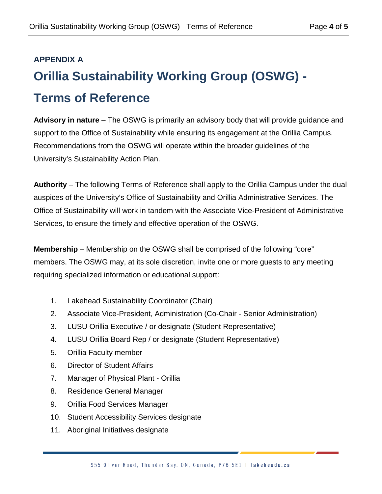# **APPENDIX A Orillia Sustainability Working Group (OSWG) - Terms of Reference**

**Advisory in nature** – The OSWG is primarily an advisory body that will provide guidance and support to the Office of Sustainability while ensuring its engagement at the Orillia Campus. Recommendations from the OSWG will operate within the broader guidelines of the University's Sustainability Action Plan.

**Authority** – The following Terms of Reference shall apply to the Orillia Campus under the dual auspices of the University's Office of Sustainability and Orillia Administrative Services. The Office of Sustainability will work in tandem with the Associate Vice-President of Administrative Services, to ensure the timely and effective operation of the OSWG.

**Membership** – Membership on the OSWG shall be comprised of the following "core" members. The OSWG may, at its sole discretion, invite one or more guests to any meeting requiring specialized information or educational support:

- 1. Lakehead Sustainability Coordinator (Chair)
- 2. Associate Vice-President, Administration (Co-Chair Senior Administration)
- 3. LUSU Orillia Executive / or designate (Student Representative)
- 4. LUSU Orillia Board Rep / or designate (Student Representative)
- 5. Orillia Faculty member
- 6. Director of Student Affairs
- 7. Manager of Physical Plant Orillia
- 8. Residence General Manager
- 9. Orillia Food Services Manager
- 10. Student Accessibility Services designate
- 11. Aboriginal Initiatives designate